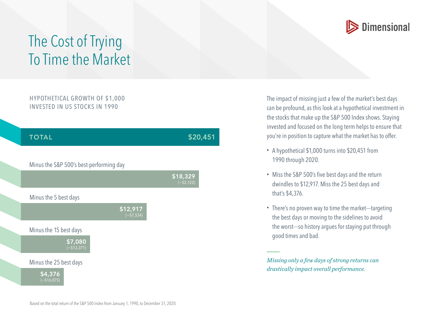

## The Cost of Trying To Time the Market

## HYPOTHETICAL GROWTH OF \$1,000 INVESTED IN US STOCKS IN 1990



The impact of missing just a few of the market's best days can be profound, as this look at a hypothetical investment in the stocks that make up the S&P 500 Index shows. Staying invested and focused on the long term helps to ensure that you're in position to capture what the market has to offer.

- A hypothetical \$1,000 turns into \$20,451 from 1990 through 2020.
- Miss the S&P 500's five best days and the return dwindles to \$12,917. Miss the 25 best days and that's \$4,376.
- There's no proven way to time the market—targeting the best days or moving to the sidelines to avoid the worst—so history argues for staying put through good times and bad.

*Missing only a few days of strong returns can drastically impact overall performance.*